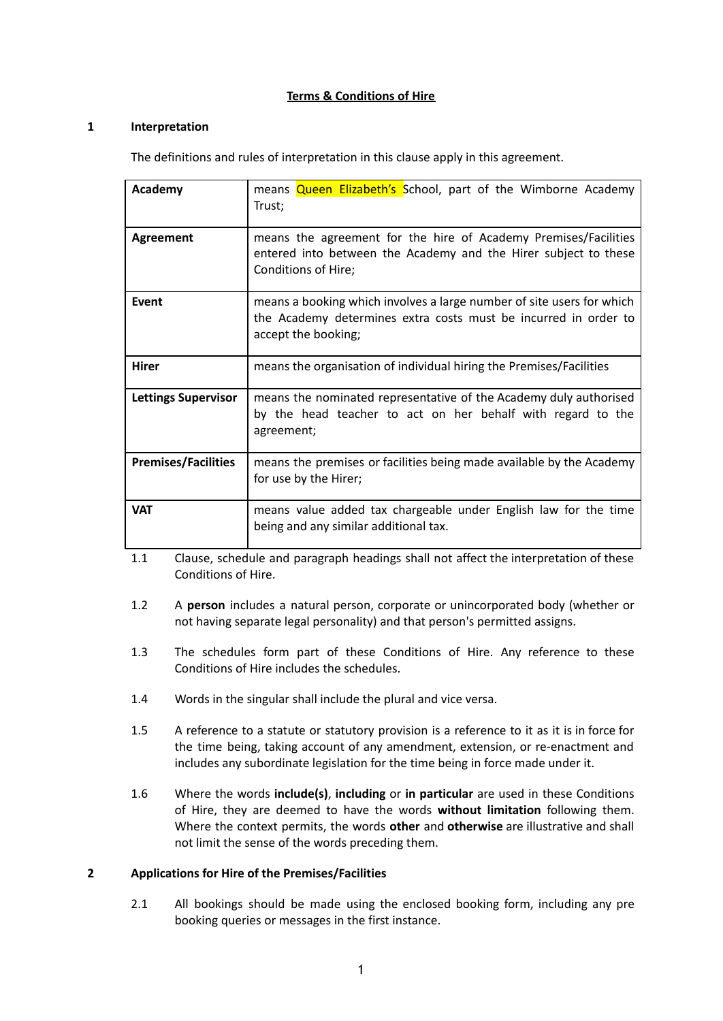# **Terms & Conditions of Hire**

# **1 Interpretation**

The definitions and rules of interpretation in this clause apply in this agreement.

| Academy                    | means <b>Queen Elizabeth's</b> School, part of the Wimborne Academy<br>Trust;                                                                                   |
|----------------------------|-----------------------------------------------------------------------------------------------------------------------------------------------------------------|
| <b>Agreement</b>           | means the agreement for the hire of Academy Premises/Facilities<br>entered into between the Academy and the Hirer subject to these<br>Conditions of Hire;       |
| Event                      | means a booking which involves a large number of site users for which<br>the Academy determines extra costs must be incurred in order to<br>accept the booking; |
| <b>Hirer</b>               | means the organisation of individual hiring the Premises/Facilities                                                                                             |
| <b>Lettings Supervisor</b> | means the nominated representative of the Academy duly authorised<br>by the head teacher to act on her behalf with regard to the<br>agreement;                  |
| <b>Premises/Facilities</b> | means the premises or facilities being made available by the Academy<br>for use by the Hirer;                                                                   |
| <b>VAT</b>                 | means value added tax chargeable under English law for the time<br>being and any similar additional tax.                                                        |

1.1 Clause, schedule and paragraph headings shall not affect the interpretation of these Conditions of Hire.

- 1.2 A **person** includes a natural person, corporate or unincorporated body (whether or not having separate legal personality) and that person's permitted assigns.
- 1.3 The schedules form part of these Conditions of Hire. Any reference to these Conditions of Hire includes the schedules.
- 1.4 Words in the singular shall include the plural and vice versa.
- 1.5 A reference to a statute or statutory provision is a reference to it as it is in force for the time being, taking account of any amendment, extension, or re-enactment and includes any subordinate legislation for the time being in force made under it.
- 1.6 Where the words **include(s)**, **including** or **in particular** are used in these Conditions of Hire, they are deemed to have the words **without limitation** following them. Where the context permits, the words **other** and **otherwise** are illustrative and shall not limit the sense of the words preceding them.

## **2 Applications for Hire of the Premises/Facilities**

2.1 All bookings should be made using the enclosed booking form, including any pre booking queries or messages in the first instance.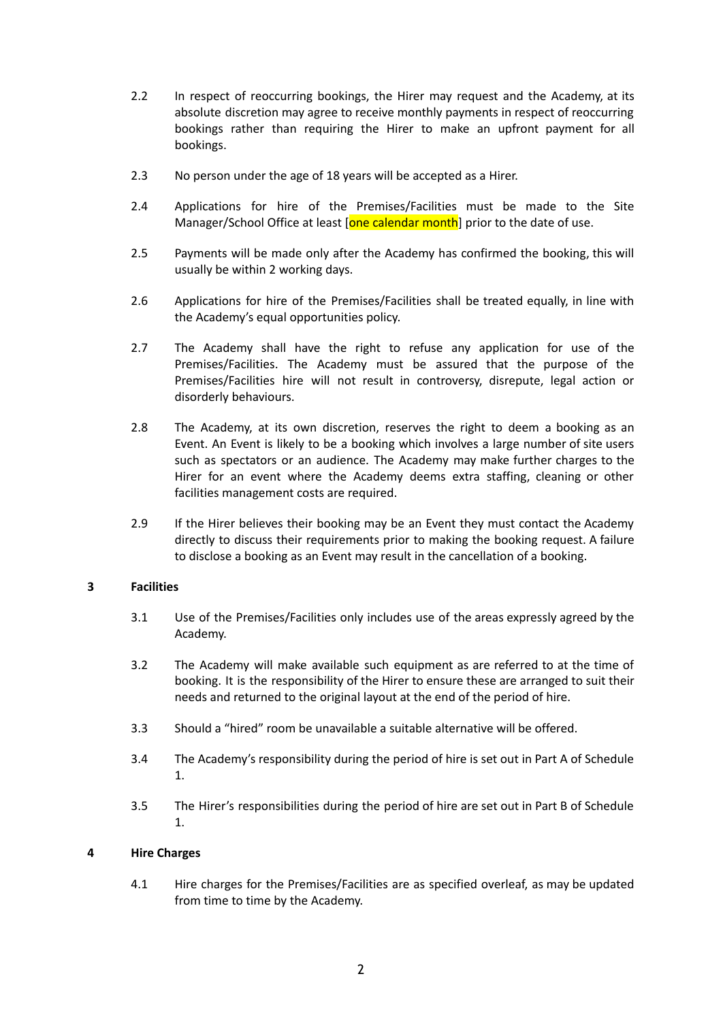- 2.2 In respect of reoccurring bookings, the Hirer may request and the Academy, at its absolute discretion may agree to receive monthly payments in respect of reoccurring bookings rather than requiring the Hirer to make an upfront payment for all bookings.
- 2.3 No person under the age of 18 years will be accepted as a Hirer.
- 2.4 Applications for hire of the Premises/Facilities must be made to the Site Manager/School Office at least [one calendar month] prior to the date of use.
- 2.5 Payments will be made only after the Academy has confirmed the booking, this will usually be within 2 working days.
- 2.6 Applications for hire of the Premises/Facilities shall be treated equally, in line with the Academy's equal opportunities policy.
- 2.7 The Academy shall have the right to refuse any application for use of the Premises/Facilities. The Academy must be assured that the purpose of the Premises/Facilities hire will not result in controversy, disrepute, legal action or disorderly behaviours.
- 2.8 The Academy, at its own discretion, reserves the right to deem a booking as an Event. An Event is likely to be a booking which involves a large number of site users such as spectators or an audience. The Academy may make further charges to the Hirer for an event where the Academy deems extra staffing, cleaning or other facilities management costs are required.
- 2.9 If the Hirer believes their booking may be an Event they must contact the Academy directly to discuss their requirements prior to making the booking request. A failure to disclose a booking as an Event may result in the cancellation of a booking.

## **3 Facilities**

- 3.1 Use of the Premises/Facilities only includes use of the areas expressly agreed by the Academy.
- 3.2 The Academy will make available such equipment as are referred to at the time of booking. It is the responsibility of the Hirer to ensure these are arranged to suit their needs and returned to the original layout at the end of the period of hire.
- 3.3 Should a "hired" room be unavailable a suitable alternative will be offered.
- 3.4 The Academy's responsibility during the period of hire is set out in Part A of Schedule 1.
- 3.5 The Hirer's responsibilities during the period of hire are set out in Part B of Schedule 1.

## **4 Hire Charges**

4.1 Hire charges for the Premises/Facilities are as specified overleaf, as may be updated from time to time by the Academy.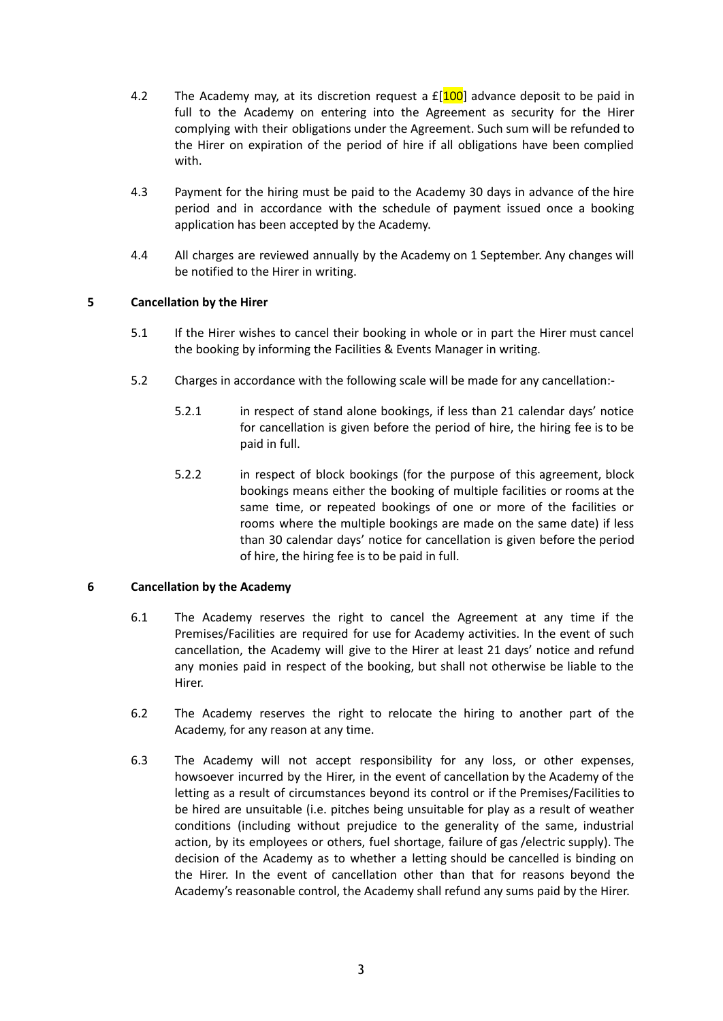- 4.2 The Academy may, at its discretion request a  $E[100]$  advance deposit to be paid in full to the Academy on entering into the Agreement as security for the Hirer complying with their obligations under the Agreement. Such sum will be refunded to the Hirer on expiration of the period of hire if all obligations have been complied with.
- 4.3 Payment for the hiring must be paid to the Academy 30 days in advance of the hire period and in accordance with the schedule of payment issued once a booking application has been accepted by the Academy.
- 4.4 All charges are reviewed annually by the Academy on 1 September. Any changes will be notified to the Hirer in writing.

# **5 Cancellation by the Hirer**

- 5.1 If the Hirer wishes to cancel their booking in whole or in part the Hirer must cancel the booking by informing the Facilities & Events Manager in writing.
- 5.2 Charges in accordance with the following scale will be made for any cancellation:-
	- 5.2.1 in respect of stand alone bookings, if less than 21 calendar days' notice for cancellation is given before the period of hire, the hiring fee is to be paid in full.
	- 5.2.2 in respect of block bookings (for the purpose of this agreement, block bookings means either the booking of multiple facilities or rooms at the same time, or repeated bookings of one or more of the facilities or rooms where the multiple bookings are made on the same date) if less than 30 calendar days' notice for cancellation is given before the period of hire, the hiring fee is to be paid in full.

## **6 Cancellation by the Academy**

- 6.1 The Academy reserves the right to cancel the Agreement at any time if the Premises/Facilities are required for use for Academy activities. In the event of such cancellation, the Academy will give to the Hirer at least 21 days' notice and refund any monies paid in respect of the booking, but shall not otherwise be liable to the Hirer.
- 6.2 The Academy reserves the right to relocate the hiring to another part of the Academy, for any reason at any time.
- 6.3 The Academy will not accept responsibility for any loss, or other expenses, howsoever incurred by the Hirer, in the event of cancellation by the Academy of the letting as a result of circumstances beyond its control or if the Premises/Facilities to be hired are unsuitable (i.e. pitches being unsuitable for play as a result of weather conditions (including without prejudice to the generality of the same, industrial action, by its employees or others, fuel shortage, failure of gas /electric supply). The decision of the Academy as to whether a letting should be cancelled is binding on the Hirer. In the event of cancellation other than that for reasons beyond the Academy's reasonable control, the Academy shall refund any sums paid by the Hirer.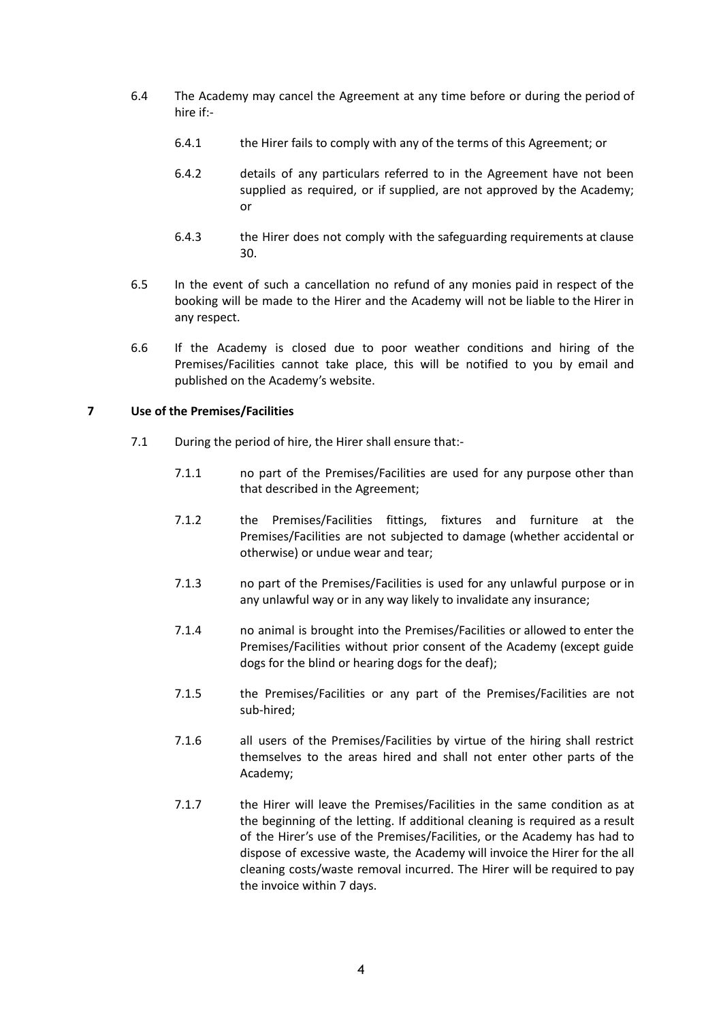- 6.4 The Academy may cancel the Agreement at any time before or during the period of hire if:-
	- 6.4.1 the Hirer fails to comply with any of the terms of this Agreement; or
	- 6.4.2 details of any particulars referred to in the Agreement have not been supplied as required, or if supplied, are not approved by the Academy; or
	- 6.4.3 the Hirer does not comply with the safeguarding requirements at clause 30.
- 6.5 In the event of such a cancellation no refund of any monies paid in respect of the booking will be made to the Hirer and the Academy will not be liable to the Hirer in any respect.
- 6.6 If the Academy is closed due to poor weather conditions and hiring of the Premises/Facilities cannot take place, this will be notified to you by email and published on the Academy's website.

# **7 Use of the Premises/Facilities**

- 7.1 During the period of hire, the Hirer shall ensure that:-
	- 7.1.1 no part of the Premises/Facilities are used for any purpose other than that described in the Agreement;
	- 7.1.2 the Premises/Facilities fittings, fixtures and furniture at the Premises/Facilities are not subjected to damage (whether accidental or otherwise) or undue wear and tear;
	- 7.1.3 no part of the Premises/Facilities is used for any unlawful purpose or in any unlawful way or in any way likely to invalidate any insurance;
	- 7.1.4 no animal is brought into the Premises/Facilities or allowed to enter the Premises/Facilities without prior consent of the Academy (except guide dogs for the blind or hearing dogs for the deaf);
	- 7.1.5 the Premises/Facilities or any part of the Premises/Facilities are not sub-hired;
	- 7.1.6 all users of the Premises/Facilities by virtue of the hiring shall restrict themselves to the areas hired and shall not enter other parts of the Academy;
	- 7.1.7 the Hirer will leave the Premises/Facilities in the same condition as at the beginning of the letting. If additional cleaning is required as a result of the Hirer's use of the Premises/Facilities, or the Academy has had to dispose of excessive waste, the Academy will invoice the Hirer for the all cleaning costs/waste removal incurred. The Hirer will be required to pay the invoice within 7 days.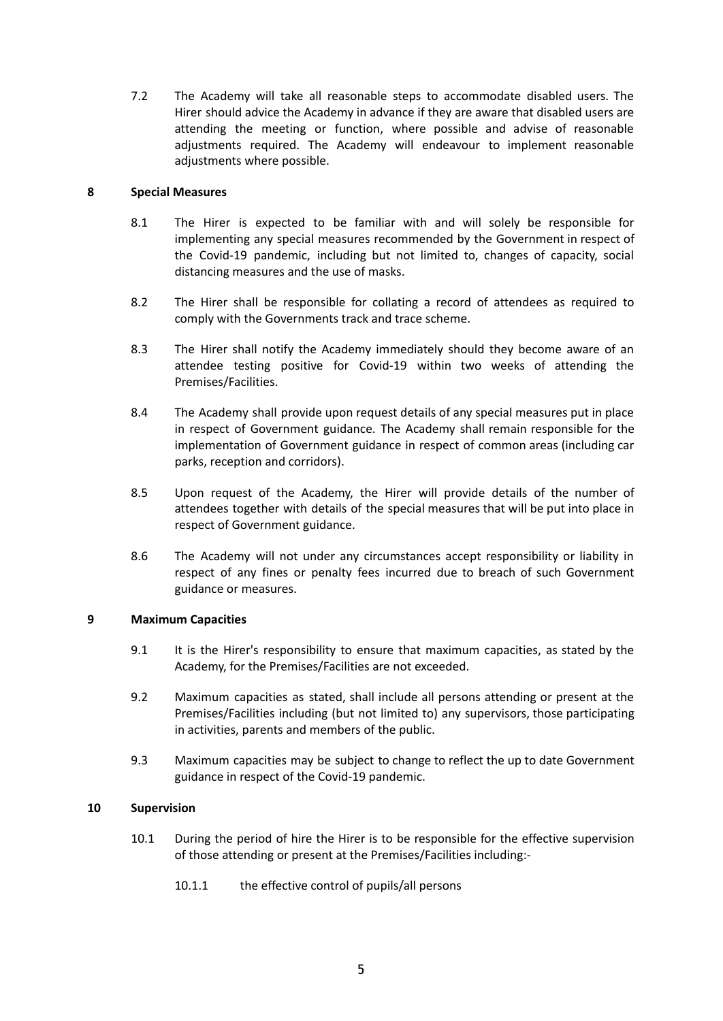7.2 The Academy will take all reasonable steps to accommodate disabled users. The Hirer should advice the Academy in advance if they are aware that disabled users are attending the meeting or function, where possible and advise of reasonable adjustments required. The Academy will endeavour to implement reasonable adjustments where possible.

## **8 Special Measures**

- 8.1 The Hirer is expected to be familiar with and will solely be responsible for implementing any special measures recommended by the Government in respect of the Covid-19 pandemic, including but not limited to, changes of capacity, social distancing measures and the use of masks.
- 8.2 The Hirer shall be responsible for collating a record of attendees as required to comply with the Governments track and trace scheme.
- 8.3 The Hirer shall notify the Academy immediately should they become aware of an attendee testing positive for Covid-19 within two weeks of attending the Premises/Facilities.
- 8.4 The Academy shall provide upon request details of any special measures put in place in respect of Government guidance. The Academy shall remain responsible for the implementation of Government guidance in respect of common areas (including car parks, reception and corridors).
- 8.5 Upon request of the Academy, the Hirer will provide details of the number of attendees together with details of the special measures that will be put into place in respect of Government guidance.
- 8.6 The Academy will not under any circumstances accept responsibility or liability in respect of any fines or penalty fees incurred due to breach of such Government guidance or measures.

## **9 Maximum Capacities**

- 9.1 It is the Hirer's responsibility to ensure that maximum capacities, as stated by the Academy, for the Premises/Facilities are not exceeded.
- 9.2 Maximum capacities as stated, shall include all persons attending or present at the Premises/Facilities including (but not limited to) any supervisors, those participating in activities, parents and members of the public.
- 9.3 Maximum capacities may be subject to change to reflect the up to date Government guidance in respect of the Covid-19 pandemic.

## **10 Supervision**

- 10.1 During the period of hire the Hirer is to be responsible for the effective supervision of those attending or present at the Premises/Facilities including:-
	- 10.1.1 the effective control of pupils/all persons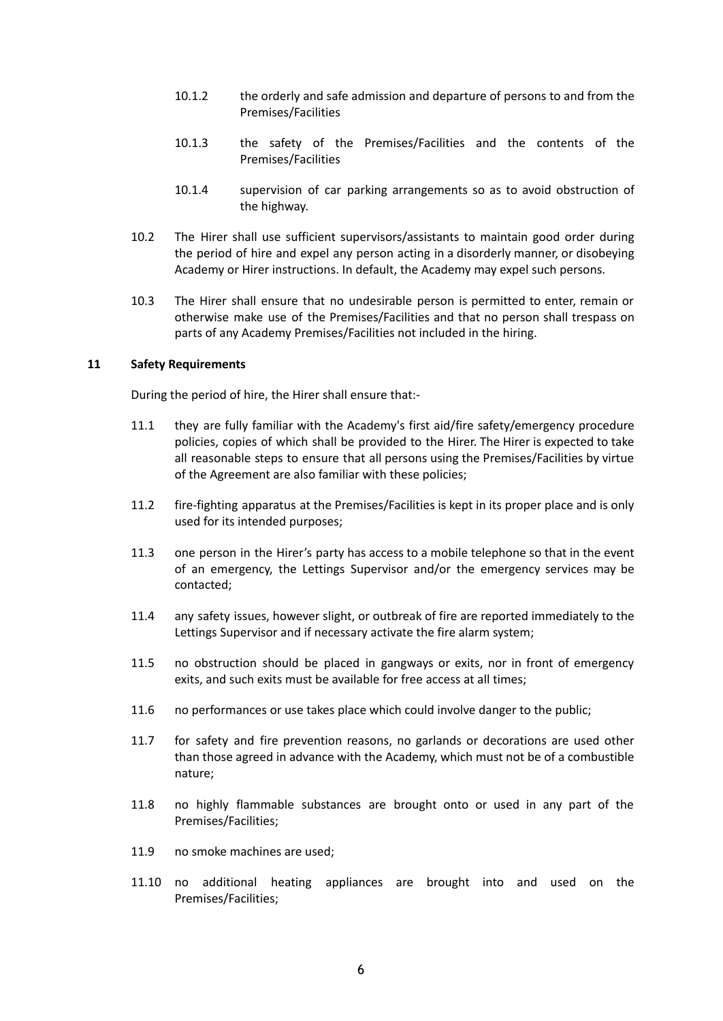- 10.1.2 the orderly and safe admission and departure of persons to and from the Premises/Facilities
- 10.1.3 the safety of the Premises/Facilities and the contents of the Premises/Facilities
- 10.1.4 supervision of car parking arrangements so as to avoid obstruction of the highway.
- 10.2 The Hirer shall use sufficient supervisors/assistants to maintain good order during the period of hire and expel any person acting in a disorderly manner, or disobeying Academy or Hirer instructions. In default, the Academy may expel such persons.
- 10.3 The Hirer shall ensure that no undesirable person is permitted to enter, remain or otherwise make use of the Premises/Facilities and that no person shall trespass on parts of any Academy Premises/Facilities not included in the hiring.

#### **11 Safety Requirements**

During the period of hire, the Hirer shall ensure that:-

- 11.1 they are fully familiar with the Academy's first aid/fire safety/emergency procedure policies, copies of which shall be provided to the Hirer. The Hirer is expected to take all reasonable steps to ensure that all persons using the Premises/Facilities by virtue of the Agreement are also familiar with these policies;
- 11.2 fire-fighting apparatus at the Premises/Facilities is kept in its proper place and is only used for its intended purposes;
- 11.3 one person in the Hirer's party has access to a mobile telephone so that in the event of an emergency, the Lettings Supervisor and/or the emergency services may be contacted;
- 11.4 any safety issues, however slight, or outbreak of fire are reported immediately to the Lettings Supervisor and if necessary activate the fire alarm system;
- 11.5 no obstruction should be placed in gangways or exits, nor in front of emergency exits, and such exits must be available for free access at all times;
- 11.6 no performances or use takes place which could involve danger to the public;
- 11.7 for safety and fire prevention reasons, no garlands or decorations are used other than those agreed in advance with the Academy, which must not be of a combustible nature;
- 11.8 no highly flammable substances are brought onto or used in any part of the Premises/Facilities;
- 11.9 no smoke machines are used;
- 11.10 no additional heating appliances are brought into and used on the Premises/Facilities;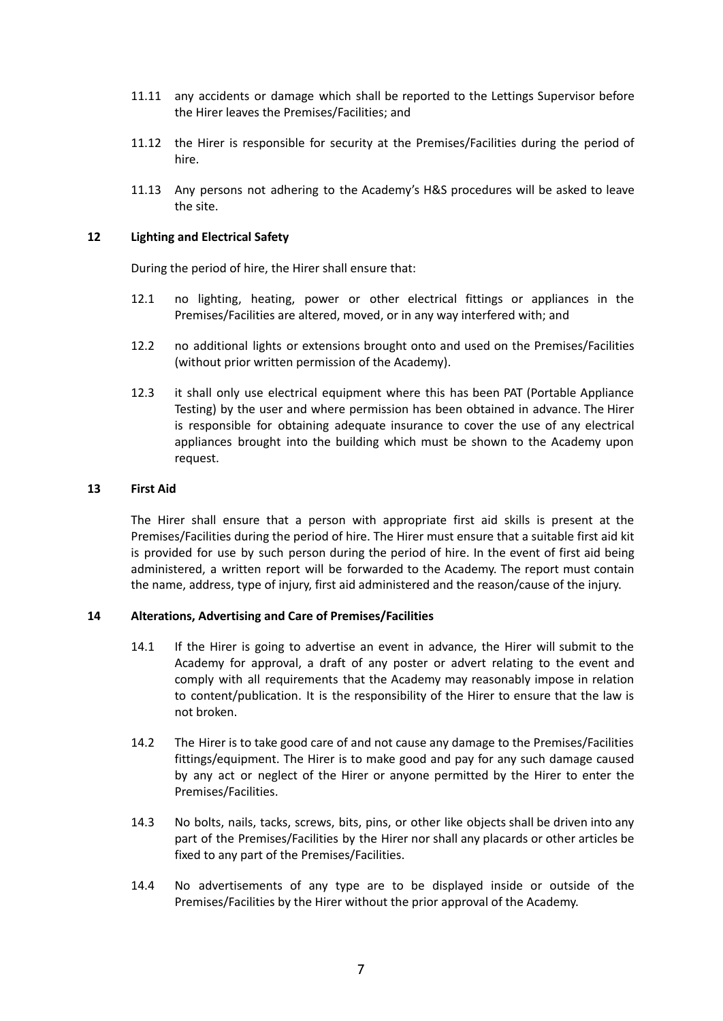- 11.11 any accidents or damage which shall be reported to the Lettings Supervisor before the Hirer leaves the Premises/Facilities; and
- 11.12 the Hirer is responsible for security at the Premises/Facilities during the period of hire.
- 11.13 Any persons not adhering to the Academy's H&S procedures will be asked to leave the site.

#### **12 Lighting and Electrical Safety**

During the period of hire, the Hirer shall ensure that:

- 12.1 no lighting, heating, power or other electrical fittings or appliances in the Premises/Facilities are altered, moved, or in any way interfered with; and
- 12.2 no additional lights or extensions brought onto and used on the Premises/Facilities (without prior written permission of the Academy).
- 12.3 it shall only use electrical equipment where this has been PAT (Portable Appliance Testing) by the user and where permission has been obtained in advance. The Hirer is responsible for obtaining adequate insurance to cover the use of any electrical appliances brought into the building which must be shown to the Academy upon request.

#### **13 First Aid**

The Hirer shall ensure that a person with appropriate first aid skills is present at the Premises/Facilities during the period of hire. The Hirer must ensure that a suitable first aid kit is provided for use by such person during the period of hire. In the event of first aid being administered, a written report will be forwarded to the Academy. The report must contain the name, address, type of injury, first aid administered and the reason/cause of the injury.

## **14 Alterations, Advertising and Care of Premises/Facilities**

- 14.1 If the Hirer is going to advertise an event in advance, the Hirer will submit to the Academy for approval, a draft of any poster or advert relating to the event and comply with all requirements that the Academy may reasonably impose in relation to content/publication. It is the responsibility of the Hirer to ensure that the law is not broken.
- 14.2 The Hirer is to take good care of and not cause any damage to the Premises/Facilities fittings/equipment. The Hirer is to make good and pay for any such damage caused by any act or neglect of the Hirer or anyone permitted by the Hirer to enter the Premises/Facilities.
- 14.3 No bolts, nails, tacks, screws, bits, pins, or other like objects shall be driven into any part of the Premises/Facilities by the Hirer nor shall any placards or other articles be fixed to any part of the Premises/Facilities.
- 14.4 No advertisements of any type are to be displayed inside or outside of the Premises/Facilities by the Hirer without the prior approval of the Academy.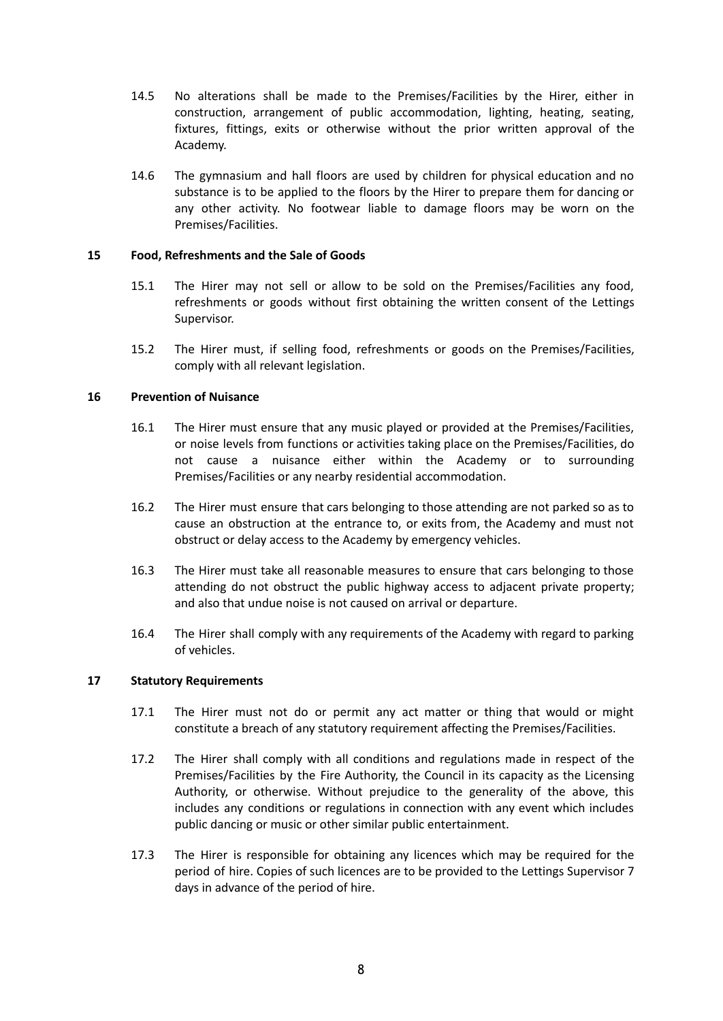- 14.5 No alterations shall be made to the Premises/Facilities by the Hirer, either in construction, arrangement of public accommodation, lighting, heating, seating, fixtures, fittings, exits or otherwise without the prior written approval of the Academy.
- 14.6 The gymnasium and hall floors are used by children for physical education and no substance is to be applied to the floors by the Hirer to prepare them for dancing or any other activity. No footwear liable to damage floors may be worn on the Premises/Facilities.

## **15 Food, Refreshments and the Sale of Goods**

- 15.1 The Hirer may not sell or allow to be sold on the Premises/Facilities any food, refreshments or goods without first obtaining the written consent of the Lettings Supervisor.
- 15.2 The Hirer must, if selling food, refreshments or goods on the Premises/Facilities, comply with all relevant legislation.

## **16 Prevention of Nuisance**

- 16.1 The Hirer must ensure that any music played or provided at the Premises/Facilities, or noise levels from functions or activities taking place on the Premises/Facilities, do not cause a nuisance either within the Academy or to surrounding Premises/Facilities or any nearby residential accommodation.
- 16.2 The Hirer must ensure that cars belonging to those attending are not parked so as to cause an obstruction at the entrance to, or exits from, the Academy and must not obstruct or delay access to the Academy by emergency vehicles.
- 16.3 The Hirer must take all reasonable measures to ensure that cars belonging to those attending do not obstruct the public highway access to adjacent private property; and also that undue noise is not caused on arrival or departure.
- 16.4 The Hirer shall comply with any requirements of the Academy with regard to parking of vehicles.

## **17 Statutory Requirements**

- 17.1 The Hirer must not do or permit any act matter or thing that would or might constitute a breach of any statutory requirement affecting the Premises/Facilities.
- 17.2 The Hirer shall comply with all conditions and regulations made in respect of the Premises/Facilities by the Fire Authority, the Council in its capacity as the Licensing Authority, or otherwise. Without prejudice to the generality of the above, this includes any conditions or regulations in connection with any event which includes public dancing or music or other similar public entertainment.
- 17.3 The Hirer is responsible for obtaining any licences which may be required for the period of hire. Copies of such licences are to be provided to the Lettings Supervisor 7 days in advance of the period of hire.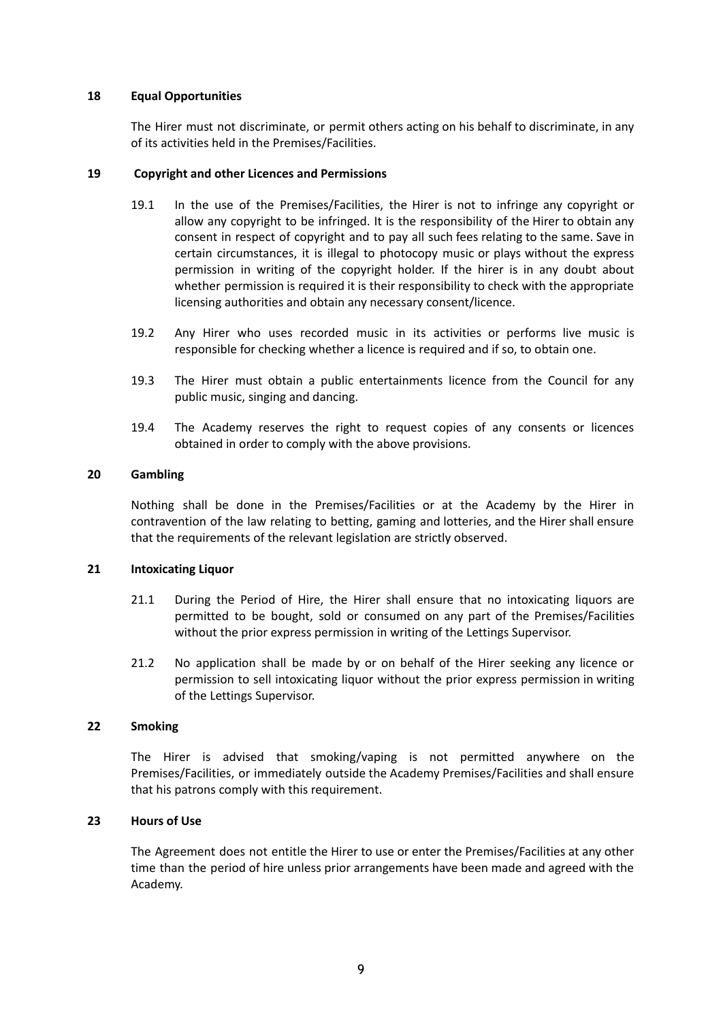## **18 Equal Opportunities**

The Hirer must not discriminate, or permit others acting on his behalf to discriminate, in any of its activities held in the Premises/Facilities.

#### **19 Copyright and other Licences and Permissions**

- 19.1 In the use of the Premises/Facilities, the Hirer is not to infringe any copyright or allow any copyright to be infringed. It is the responsibility of the Hirer to obtain any consent in respect of copyright and to pay all such fees relating to the same. Save in certain circumstances, it is illegal to photocopy music or plays without the express permission in writing of the copyright holder. If the hirer is in any doubt about whether permission is required it is their responsibility to check with the appropriate licensing authorities and obtain any necessary consent/licence.
- 19.2 Any Hirer who uses recorded music in its activities or performs live music is responsible for checking whether a licence is required and if so, to obtain one.
- 19.3 The Hirer must obtain a public entertainments licence from the Council for any public music, singing and dancing.
- 19.4 The Academy reserves the right to request copies of any consents or licences obtained in order to comply with the above provisions.

#### **20 Gambling**

Nothing shall be done in the Premises/Facilities or at the Academy by the Hirer in contravention of the law relating to betting, gaming and lotteries, and the Hirer shall ensure that the requirements of the relevant legislation are strictly observed.

#### **21 Intoxicating Liquor**

- 21.1 During the Period of Hire, the Hirer shall ensure that no intoxicating liquors are permitted to be bought, sold or consumed on any part of the Premises/Facilities without the prior express permission in writing of the Lettings Supervisor.
- 21.2 No application shall be made by or on behalf of the Hirer seeking any licence or permission to sell intoxicating liquor without the prior express permission in writing of the Lettings Supervisor.

#### **22 Smoking**

The Hirer is advised that smoking/vaping is not permitted anywhere on the Premises/Facilities, or immediately outside the Academy Premises/Facilities and shall ensure that his patrons comply with this requirement.

## **23 Hours of Use**

The Agreement does not entitle the Hirer to use or enter the Premises/Facilities at any other time than the period of hire unless prior arrangements have been made and agreed with the Academy.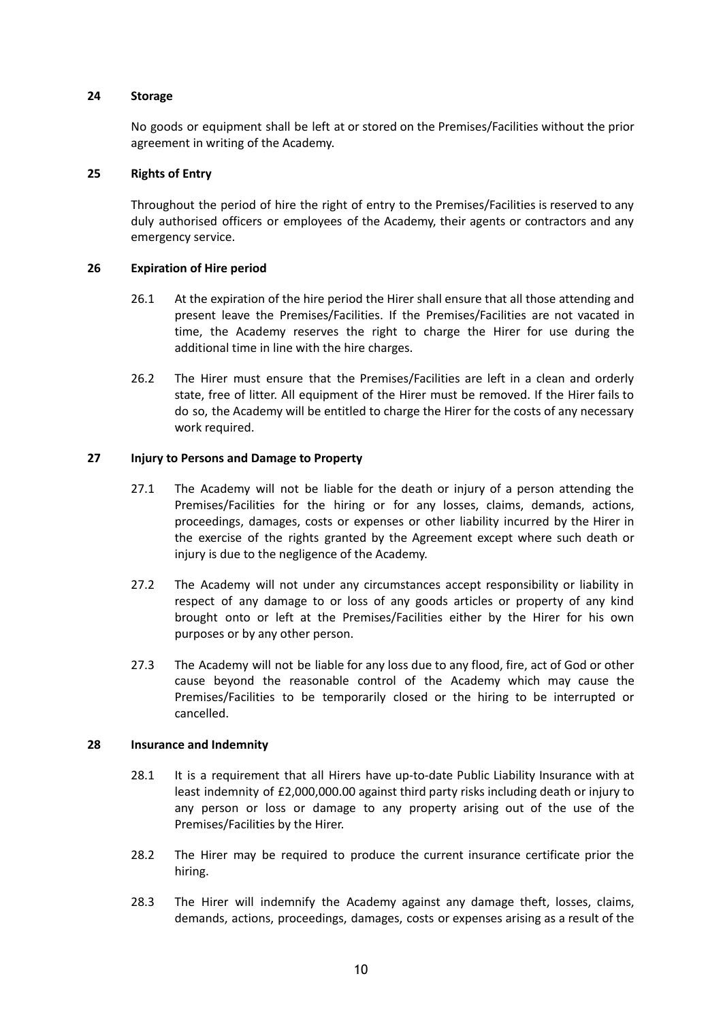#### **24 Storage**

No goods or equipment shall be left at or stored on the Premises/Facilities without the prior agreement in writing of the Academy.

#### **25 Rights of Entry**

Throughout the period of hire the right of entry to the Premises/Facilities is reserved to any duly authorised officers or employees of the Academy, their agents or contractors and any emergency service.

#### **26 Expiration of Hire period**

- 26.1 At the expiration of the hire period the Hirer shall ensure that all those attending and present leave the Premises/Facilities. If the Premises/Facilities are not vacated in time, the Academy reserves the right to charge the Hirer for use during the additional time in line with the hire charges.
- 26.2 The Hirer must ensure that the Premises/Facilities are left in a clean and orderly state, free of litter. All equipment of the Hirer must be removed. If the Hirer fails to do so, the Academy will be entitled to charge the Hirer for the costs of any necessary work required.

#### **27 Injury to Persons and Damage to Property**

- 27.1 The Academy will not be liable for the death or injury of a person attending the Premises/Facilities for the hiring or for any losses, claims, demands, actions, proceedings, damages, costs or expenses or other liability incurred by the Hirer in the exercise of the rights granted by the Agreement except where such death or injury is due to the negligence of the Academy.
- 27.2 The Academy will not under any circumstances accept responsibility or liability in respect of any damage to or loss of any goods articles or property of any kind brought onto or left at the Premises/Facilities either by the Hirer for his own purposes or by any other person.
- 27.3 The Academy will not be liable for any loss due to any flood, fire, act of God or other cause beyond the reasonable control of the Academy which may cause the Premises/Facilities to be temporarily closed or the hiring to be interrupted or cancelled.

#### **28 Insurance and Indemnity**

- 28.1 It is a requirement that all Hirers have up-to-date Public Liability Insurance with at least indemnity of £2,000,000.00 against third party risks including death or injury to any person or loss or damage to any property arising out of the use of the Premises/Facilities by the Hirer.
- 28.2 The Hirer may be required to produce the current insurance certificate prior the hiring.
- 28.3 The Hirer will indemnify the Academy against any damage theft, losses, claims, demands, actions, proceedings, damages, costs or expenses arising as a result of the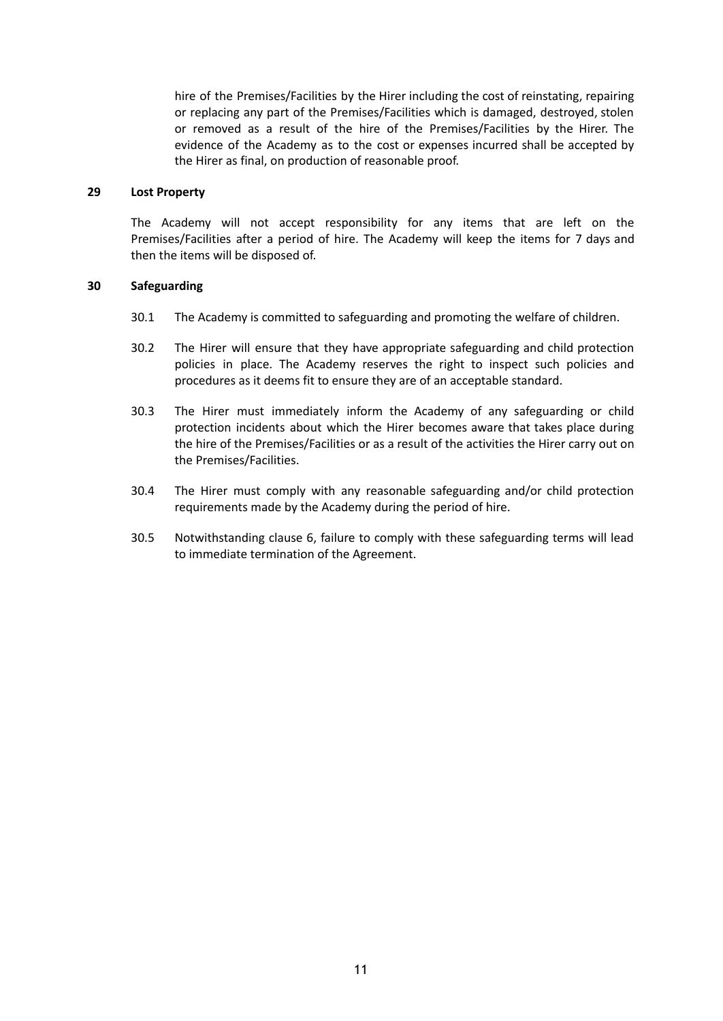hire of the Premises/Facilities by the Hirer including the cost of reinstating, repairing or replacing any part of the Premises/Facilities which is damaged, destroyed, stolen or removed as a result of the hire of the Premises/Facilities by the Hirer. The evidence of the Academy as to the cost or expenses incurred shall be accepted by the Hirer as final, on production of reasonable proof.

#### **29 Lost Property**

The Academy will not accept responsibility for any items that are left on the Premises/Facilities after a period of hire. The Academy will keep the items for 7 days and then the items will be disposed of.

#### **30 Safeguarding**

- 30.1 The Academy is committed to safeguarding and promoting the welfare of children.
- 30.2 The Hirer will ensure that they have appropriate safeguarding and child protection policies in place. The Academy reserves the right to inspect such policies and procedures as it deems fit to ensure they are of an acceptable standard.
- 30.3 The Hirer must immediately inform the Academy of any safeguarding or child protection incidents about which the Hirer becomes aware that takes place during the hire of the Premises/Facilities or as a result of the activities the Hirer carry out on the Premises/Facilities.
- 30.4 The Hirer must comply with any reasonable safeguarding and/or child protection requirements made by the Academy during the period of hire.
- 30.5 Notwithstanding clause 6, failure to comply with these safeguarding terms will lead to immediate termination of the Agreement.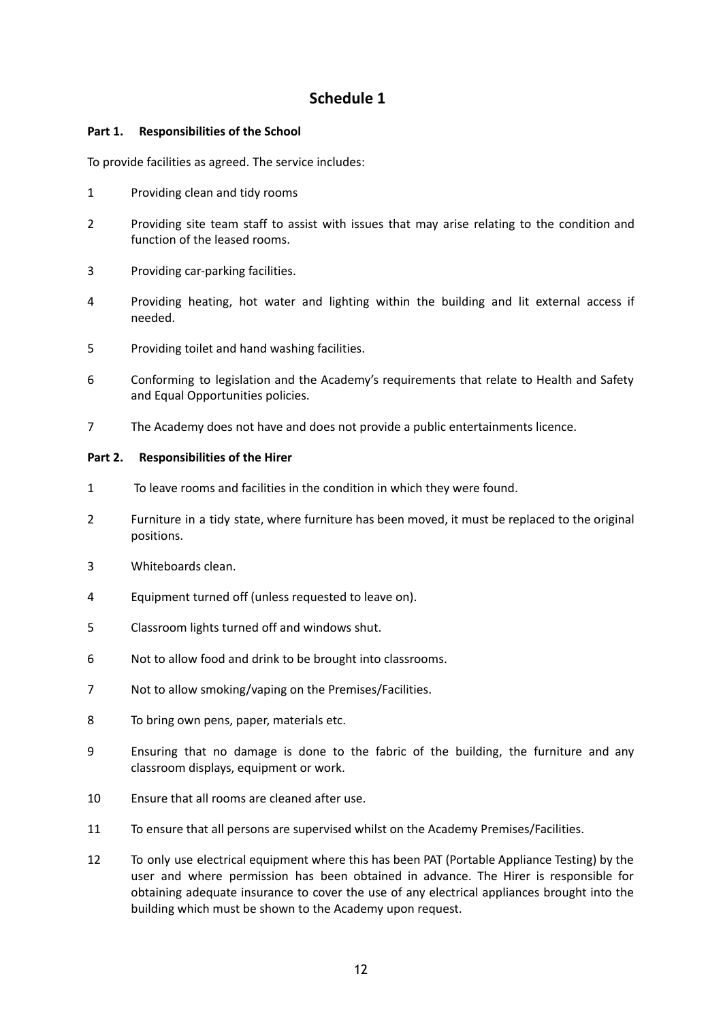# **Schedule 1**

# **Part 1. Responsibilities of the School**

To provide facilities as agreed. The service includes:

- Providing clean and tidy rooms
- Providing site team staff to assist with issues that may arise relating to the condition and function of the leased rooms.
- Providing car-parking facilities.
- Providing heating, hot water and lighting within the building and lit external access if needed.
- Providing toilet and hand washing facilities.
- Conforming to legislation and the Academy's requirements that relate to Health and Safety and Equal Opportunities policies.
- The Academy does not have and does not provide a public entertainments licence.

## **Part 2. Responsibilities of the Hirer**

- To leave rooms and facilities in the condition in which they were found.
- Furniture in a tidy state, where furniture has been moved, it must be replaced to the original positions.
- Whiteboards clean.
- Equipment turned off (unless requested to leave on).
- Classroom lights turned off and windows shut.
- Not to allow food and drink to be brought into classrooms.
- Not to allow smoking/vaping on the Premises/Facilities.
- To bring own pens, paper, materials etc.
- Ensuring that no damage is done to the fabric of the building, the furniture and any classroom displays, equipment or work.
- Ensure that all rooms are cleaned after use.
- To ensure that all persons are supervised whilst on the Academy Premises/Facilities.
- To only use electrical equipment where this has been PAT (Portable Appliance Testing) by the user and where permission has been obtained in advance. The Hirer is responsible for obtaining adequate insurance to cover the use of any electrical appliances brought into the building which must be shown to the Academy upon request.